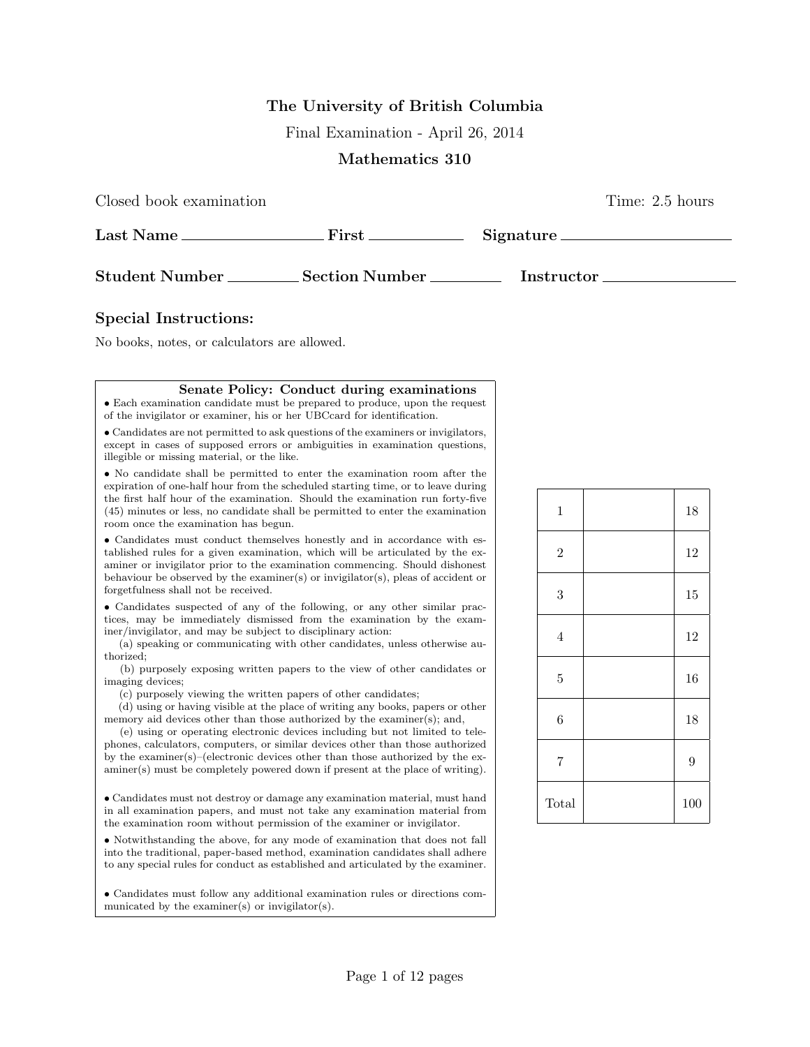## **The University of British Columbia**

Final Examination - April 26, 2014

## **Mathematics 310**

Closed book examination Time: 2.5 hours

| Last Name.            | First            | Signature         |  |
|-----------------------|------------------|-------------------|--|
| <b>Student Number</b> | Section Number . | <b>Instructor</b> |  |

## **Special Instructions:**

No books, notes, or calculators are allowed.

## **Senate Policy: Conduct during examinations**

*•* Each examination candidate must be prepared to produce, upon the request of the invigilator or examiner, his or her UBCcard for identification.

*•* Candidates are not permitted to ask questions of the examiners or invigilators, except in cases of supposed errors or ambiguities in examination questions, illegible or missing material, or the like.

*•* No candidate shall be permitted to enter the examination room after the expiration of one-half hour from the scheduled starting time, or to leave during the first half hour of the examination. Should the examination run forty-five (45) minutes or less, no candidate shall be permitted to enter the examination room once the examination has begun.

*•* Candidates must conduct themselves honestly and in accordance with established rules for a given examination, which will be articulated by the examiner or invigilator prior to the examination commencing. Should dishonest behaviour be observed by the examiner(s) or invigilator(s), pleas of accident or forgetfulness shall not be received.

*•* Candidates suspected of any of the following, or any other similar practices, may be immediately dismissed from the examination by the examiner/invigilator, and may be subject to disciplinary action:

(a) speaking or communicating with other candidates, unless otherwise authorized;

(b) purposely exposing written papers to the view of other candidates or imaging devices;

(c) purposely viewing the written papers of other candidates;

(d) using or having visible at the place of writing any books, papers or other memory aid devices other than those authorized by the examiner(s); and,

(e) using or operating electronic devices including but not limited to telephones, calculators, computers, or similar devices other than those authorized by the examiner(s)–(electronic devices other than those authorized by the examiner(s) must be completely powered down if present at the place of writing).

*•* Candidates must not destroy or damage any examination material, must hand in all examination papers, and must not take any examination material from the examination room without permission of the examiner or invigilator.

*•* Notwithstanding the above, for any mode of examination that does not fall into the traditional, paper-based method, examination candidates shall adhere to any special rules for conduct as established and articulated by the examiner.

*•* Candidates must follow any additional examination rules or directions communicated by the examiner(s) or invigilator(s).

| $\,1$            | 18  |
|------------------|-----|
| $\overline{2}$   | 12  |
| $\boldsymbol{3}$ | 15  |
| $\overline{4}$   | 12  |
| $\overline{5}$   | 16  |
| $\overline{6}$   | 18  |
| $\overline{7}$   | 9   |
| Total            | 100 |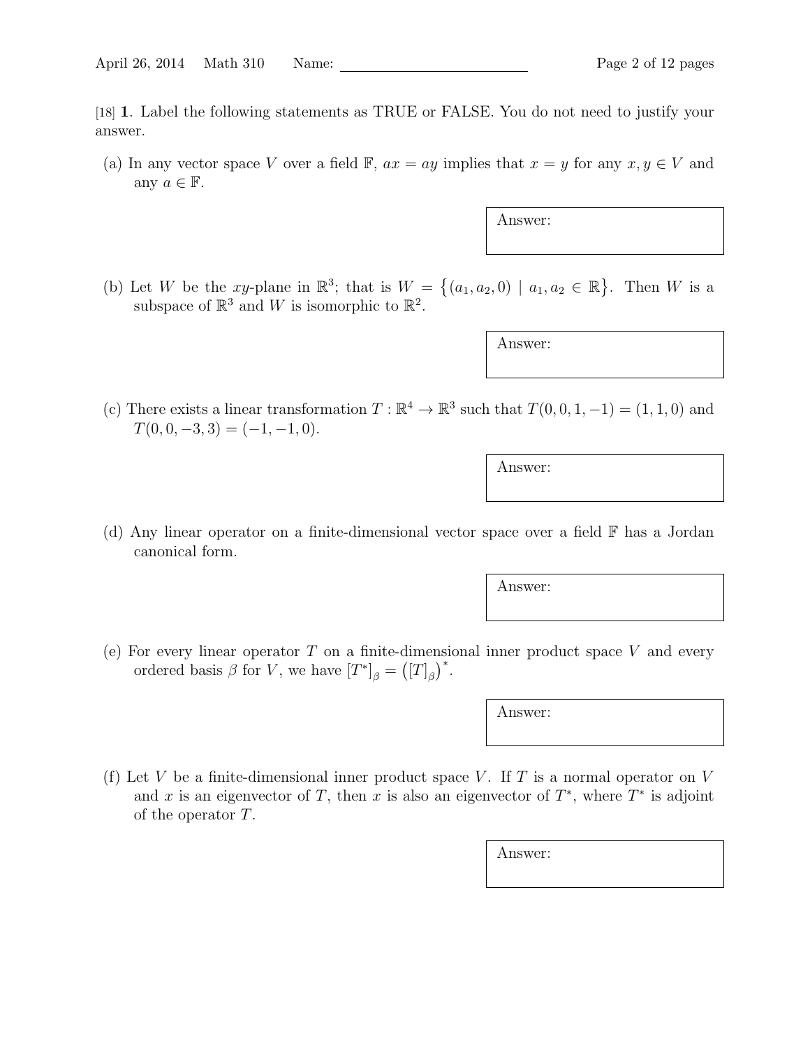[18] **1**. Label the following statements as TRUE or FALSE. You do not need to justify your answer.

(a) In any vector space *V* over a field  $\mathbb{F}$ ,  $ax = ay$  implies that  $x = y$  for any  $x, y \in V$  and any  $a \in \mathbb{F}$ .

Answer:

(b) Let *W* be the *xy*-plane in  $\mathbb{R}^3$ ; that is  $W = \{(a_1, a_2, 0) \mid a_1, a_2 \in \mathbb{R}\}$ . Then *W* is a subspace of  $\mathbb{R}^3$  and W is isomorphic to  $\mathbb{R}^2$ .

Answer:

(c) There exists a linear transformation  $T : \mathbb{R}^4 \to \mathbb{R}^3$  such that  $T(0, 0, 1, -1) = (1, 1, 0)$  and  $T(0, 0, -3, 3) = (-1, -1, 0).$ 

Answer:

(d) Any linear operator on a finite-dimensional vector space over a field F has a Jordan canonical form.

Answer:

(e) For every linear operator *T* on a finite-dimensional inner product space *V* and every ordered basis  $\beta$  for *V*, we have  $[T^*]_{\beta} = ([T]_{\beta})^*$ .

Answer:

(f) Let *V* be a finite-dimensional inner product space *V*. If *T* is a normal operator on *V* and *x* is an eigenvector of *T*, then *x* is also an eigenvector of  $T^*$ , where  $T^*$  is adjoint of the operator *T*.

Answer: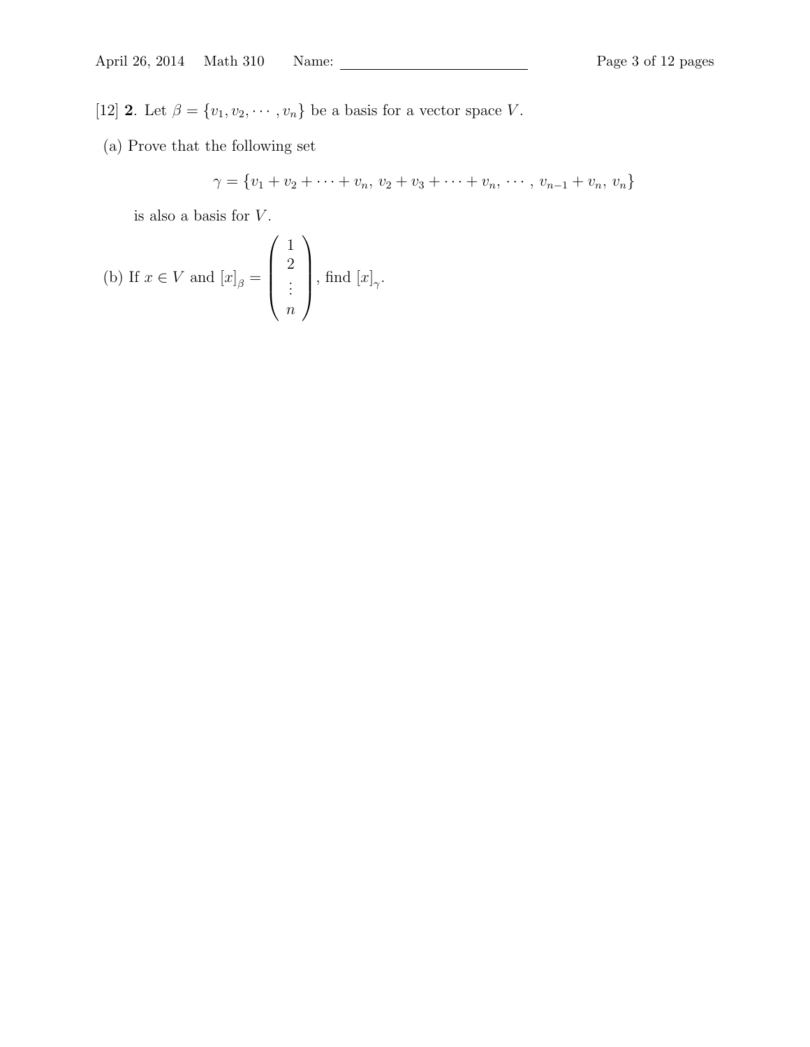[12] **2**. Let  $\beta = \{v_1, v_2, \dots, v_n\}$  be a basis for a vector space *V*.

(a) Prove that the following set

$$
\gamma = \{v_1 + v_2 + \dots + v_n, v_2 + v_3 + \dots + v_n, \dots, v_{n-1} + v_n, v_n\}
$$

is also a basis for *V* .

(b) If 
$$
x \in V
$$
 and  $[x]_{\beta} = \begin{pmatrix} 1 \\ 2 \\ \vdots \\ n \end{pmatrix}$ , find  $[x]_{\gamma}$ .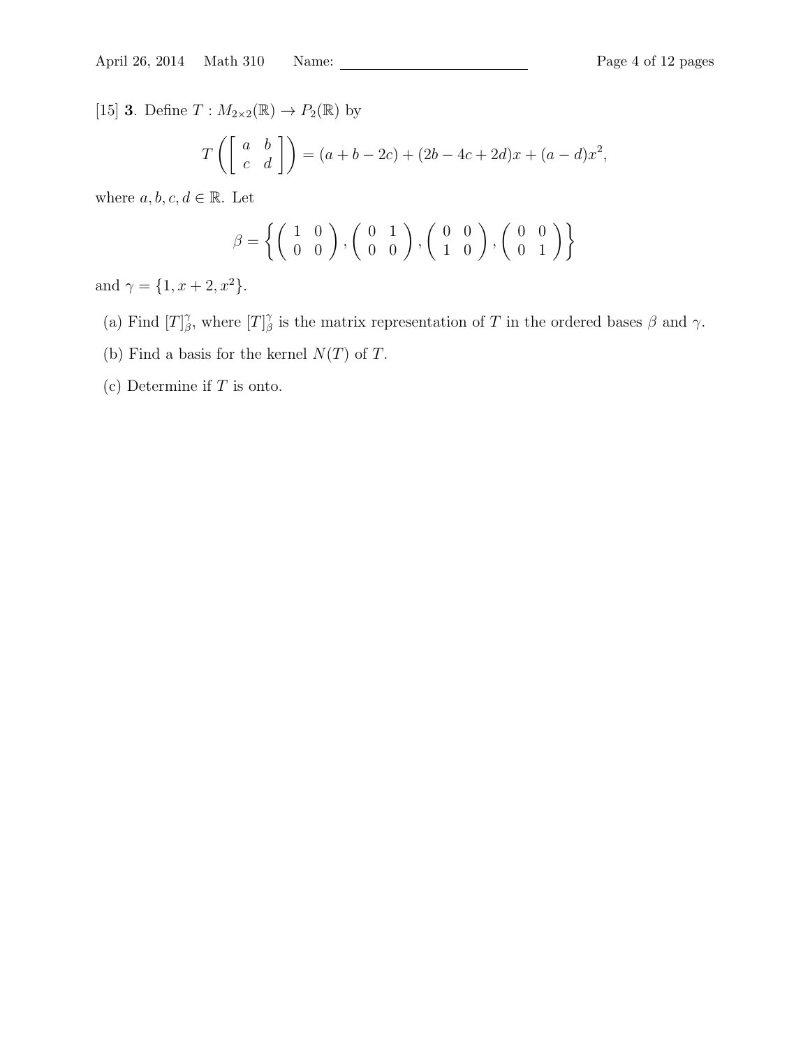[15] **3**. Define  $T: M_{2\times2}(\mathbb{R}) \to P_2(\mathbb{R})$  by

$$
T\left(\begin{bmatrix} a & b \\ c & d \end{bmatrix}\right) = (a+b-2c) + (2b-4c+2d)x + (a-d)x^2,
$$

where  $a, b, c, d \in \mathbb{R}$ . Let

$$
\beta = \left\{ \left( \begin{array}{cc} 1 & 0 \\ 0 & 0 \end{array} \right), \left( \begin{array}{cc} 0 & 1 \\ 0 & 0 \end{array} \right), \left( \begin{array}{cc} 0 & 0 \\ 1 & 0 \end{array} \right), \left( \begin{array}{cc} 0 & 0 \\ 0 & 1 \end{array} \right) \right\}
$$

and  $\gamma = \{1, x + 2, x^2\}.$ 

- (a) Find  $[T]_A^{\gamma}$ <sup>γ</sup><sub>β</sub>, where  $[T]$ <sup>γ</sup><sub>β</sub> *β* is the matrix representation of *T* in the ordered bases *β* and *γ*.
- (b) Find a basis for the kernel  $N(T)$  of  $T$ .
- (c) Determine if *T* is onto.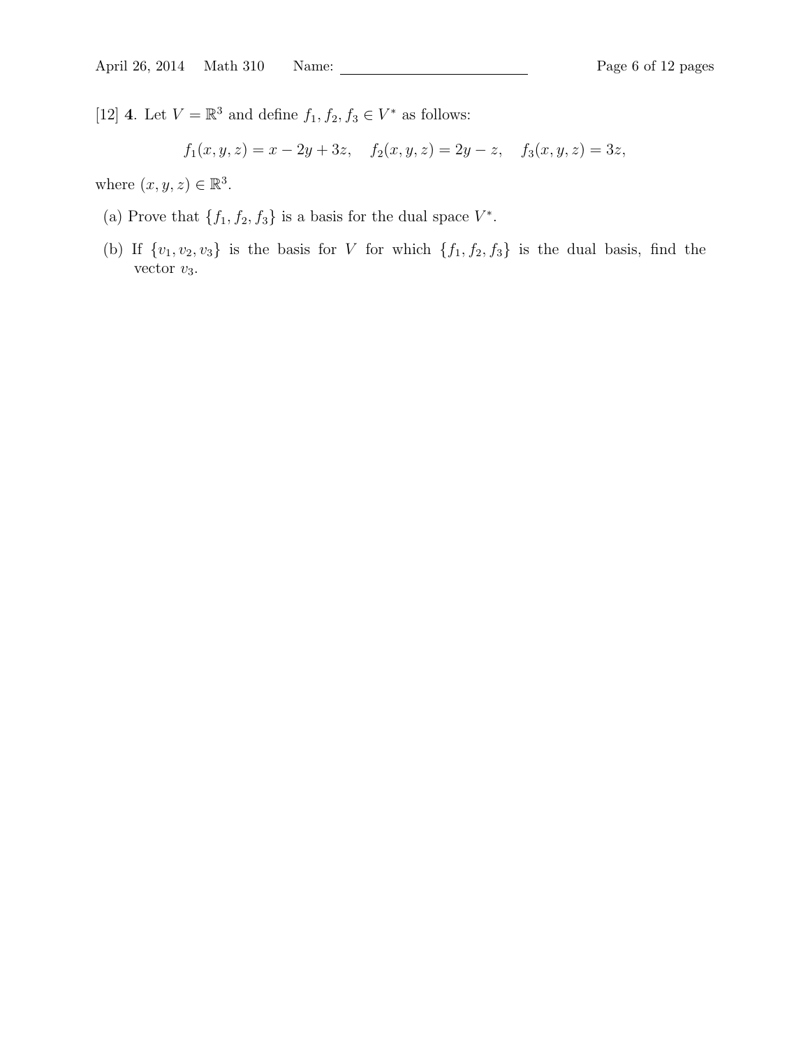[12] **4**. Let  $V = \mathbb{R}^3$  and define  $f_1, f_2, f_3 \in V^*$  as follows:

$$
f_1(x, y, z) = x - 2y + 3z
$$
,  $f_2(x, y, z) = 2y - z$ ,  $f_3(x, y, z) = 3z$ ,

where  $(x, y, z) \in \mathbb{R}^3$ .

- (a) Prove that  $\{f_1, f_2, f_3\}$  is a basis for the dual space  $V^*$ .
- (b) If  $\{v_1, v_2, v_3\}$  is the basis for *V* for which  $\{f_1, f_2, f_3\}$  is the dual basis, find the vector  $v_3$ .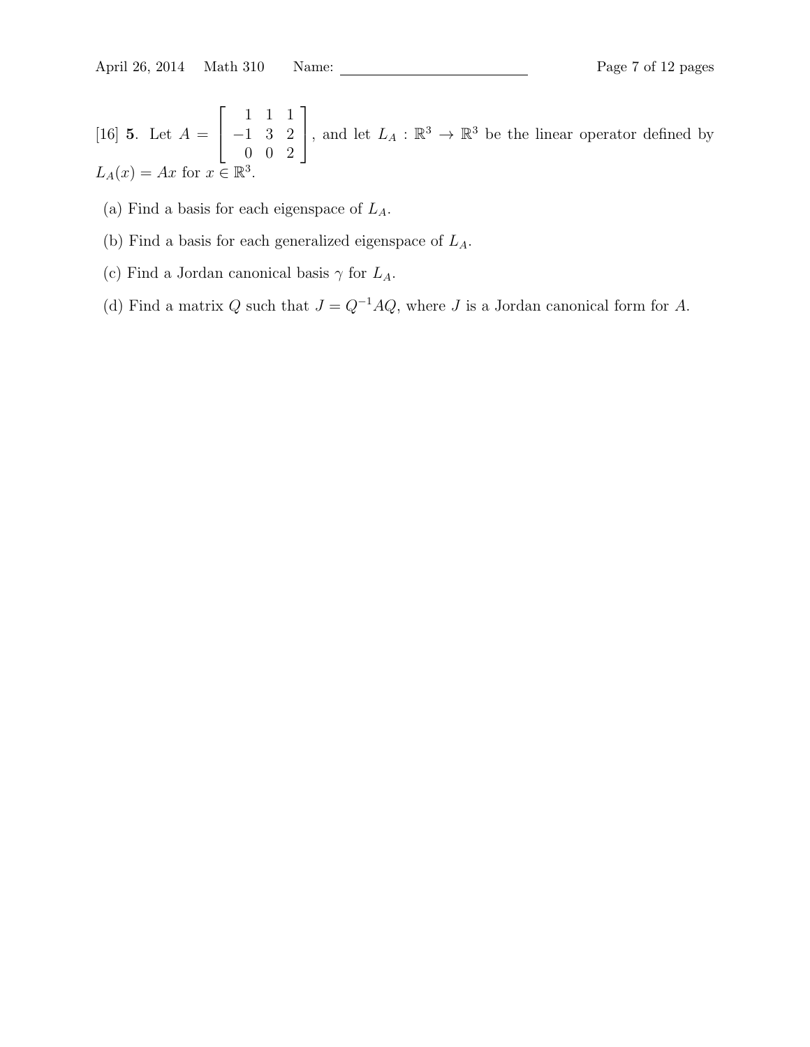April 26, 2014 Math 310 Name: Page 7 of 12 pages

[16] **5**. Let  $A =$  $\sqrt{ }$  $\overline{1}$ 1 1 1 *−*1 3 2 0 0 2 1 , and let  $L_A : \mathbb{R}^3 \to \mathbb{R}^3$  be the linear operator defined by  $L_A(x) = Ax$  for  $x \in \mathbb{R}^3$ .

- (a) Find a basis for each eigenspace of *LA*.
- (b) Find a basis for each generalized eigenspace of *LA*.
- (c) Find a Jordan canonical basis  $\gamma$  for  $L_A$ .
- (d) Find a matrix  $Q$  such that  $J = Q^{-1}AQ$ , where  $J$  is a Jordan canonical form for  $A$ .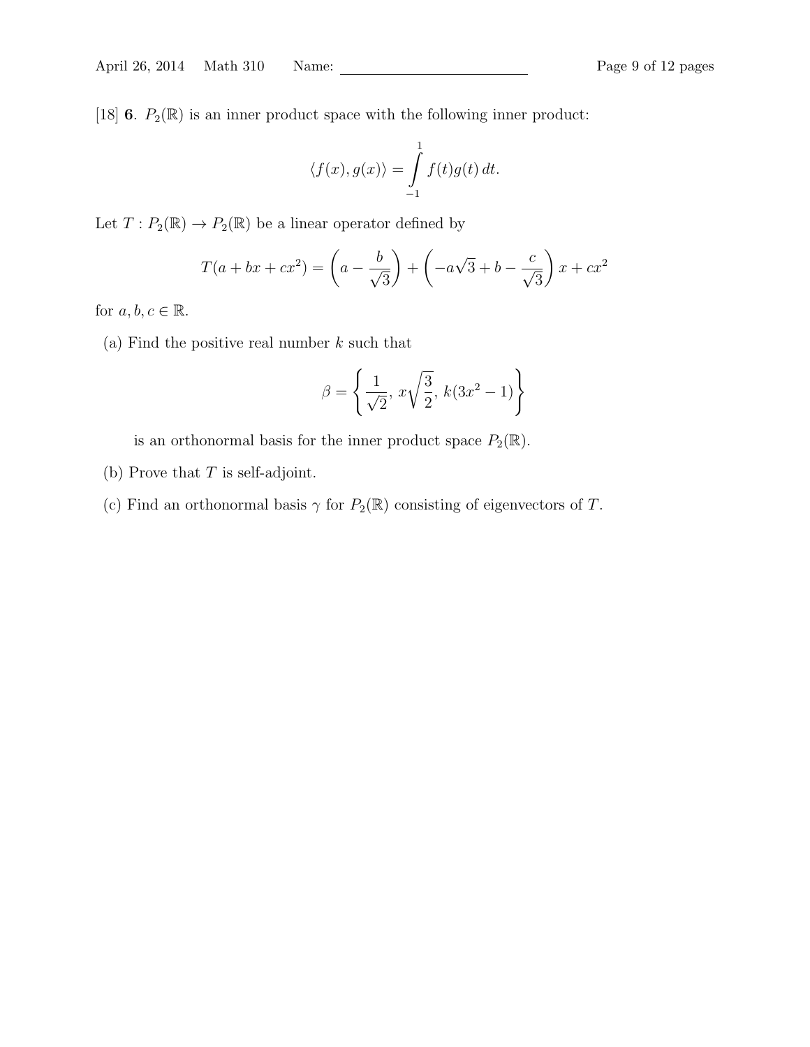[18] **6**.  $P_2(\mathbb{R})$  is an inner product space with the following inner product:

$$
\langle f(x), g(x) \rangle = \int_{-1}^{1} f(t)g(t) dt.
$$

Let  $T: P_2(\mathbb{R}) \to P_2(\mathbb{R})$  be a linear operator defined by

$$
T(a + bx + cx^{2}) = \left(a - \frac{b}{\sqrt{3}}\right) + \left(-a\sqrt{3} + b - \frac{c}{\sqrt{3}}\right)x + cx^{2}
$$

for  $a, b, c \in \mathbb{R}$ .

(a) Find the positive real number *k* such that

$$
\beta = \left\{ \frac{1}{\sqrt{2}}, \, x \sqrt{\frac{3}{2}}, \, k(3x^2 - 1) \right\}
$$

is an orthonormal basis for the inner product space  $P_2(\mathbb{R})$ .

- (b) Prove that *T* is self-adjoint.
- (c) Find an orthonormal basis  $\gamma$  for  $P_2(\mathbb{R})$  consisting of eigenvectors of *T*.